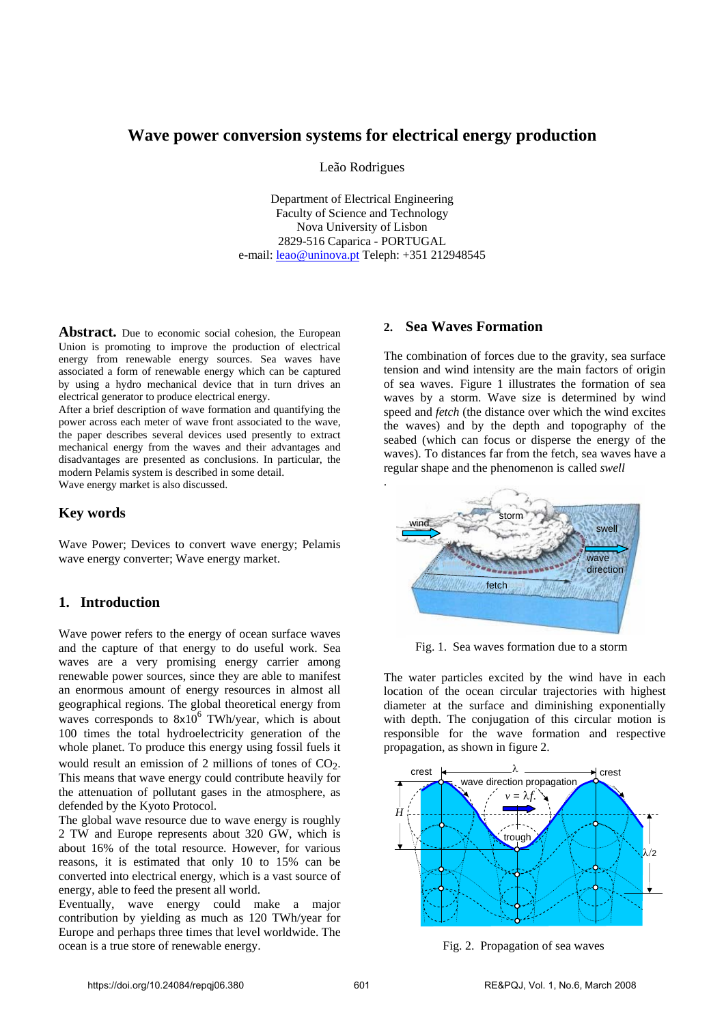# **Wave power conversion systems for electrical energy production**

Leão Rodrigues

Department of Electrical Engineering Faculty of Science and Technology Nova University of Lisbon 2829-516 Caparica - PORTUGAL e-mail: leao@uninova.pt Teleph: +351 212948545

Abstract. Due to economic social cohesion, the European Union is promoting to improve the production of electrical energy from renewable energy sources. Sea waves have associated a form of renewable energy which can be captured by using a hydro mechanical device that in turn drives an electrical generator to produce electrical energy.

After a brief description of wave formation and quantifying the power across each meter of wave front associated to the wave, the paper describes several devices used presently to extract mechanical energy from the waves and their advantages and disadvantages are presented as conclusions. In particular, the modern Pelamis system is described in some detail. Wave energy market is also discussed.

## **Key words**

Wave Power; Devices to convert wave energy; Pelamis wave energy converter; Wave energy market.

# **1. Introduction**

Wave power refers to the energy of ocean surface waves and the capture of that energy to do useful work. Sea waves are a very promising energy carrier among renewable power sources, since they are able to manifest an enormous amount of energy resources in almost all geographical regions. The global theoretical energy from waves corresponds to  $8x10^6$  TWh/year, which is about 100 times the total hydroelectricity generation of the whole planet. To produce this energy using fossil fuels it would result an emission of 2 millions of tones of CO<sub>2</sub>. This means that wave energy could contribute heavily for the attenuation of pollutant gases in the atmosphere, as defended by the Kyoto Protocol.

The global wave resource due to wave energy is roughly 2 TW and Europe represents about 320 GW, which is about 16% of the total resource. However, for various reasons, it is estimated that only 10 to 15% can be converted into electrical energy, which is a vast source of energy, able to feed the present all world.

Eventually, wave energy could make a major contribution by yielding as much as 120 TWh/year for Europe and perhaps three times that level worldwide. The ocean is a true store of renewable energy.

# **2. Sea Waves Formation**

The combination of forces due to the gravity, sea surface tension and wind intensity are the main factors of origin of sea waves. Figure 1 illustrates the formation of sea waves by a storm. Wave size is determined by wind speed and *fetch* (the distance over which the wind excites the waves) and by the depth and topography of the seabed (which can focus or disperse the energy of the waves). To distances far from the fetch, sea waves have a regular shape and the phenomenon is called *swell*



Fig. 1. Sea waves formation due to a storm

The water particles excited by the wind have in each location of the ocean circular trajectories with highest diameter at the surface and diminishing exponentially with depth. The conjugation of this circular motion is responsible for the wave formation and respective propagation, as shown in figure 2.



Fig. 2. Propagation of sea waves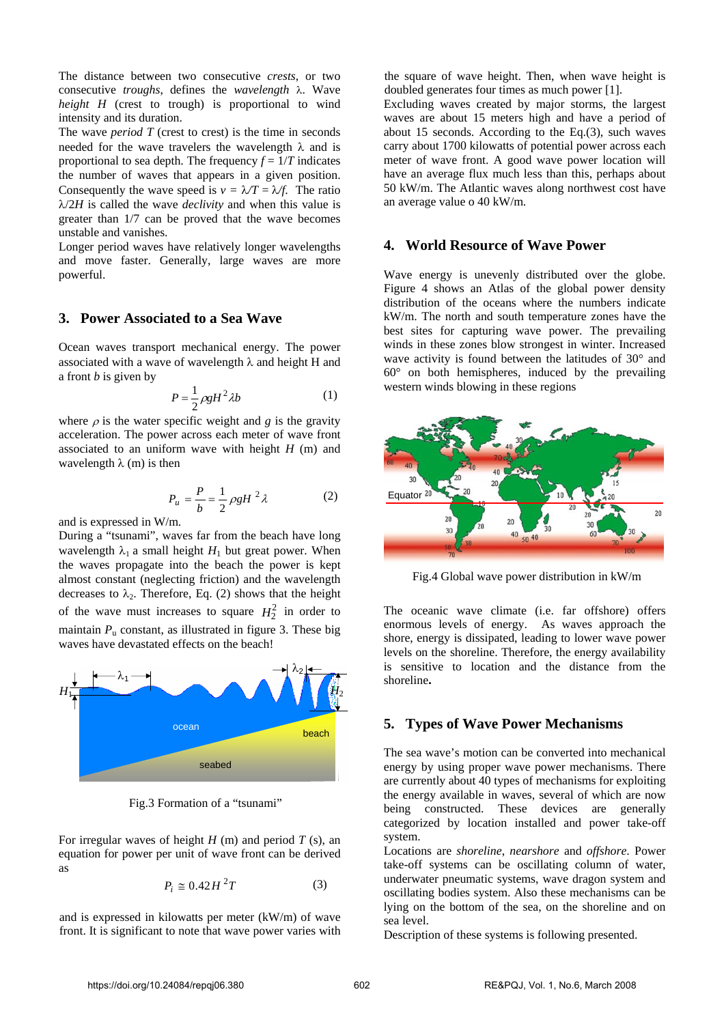The distance between two consecutive *crests*, or two consecutive *troughs*, defines the *wavelength* λ. Wave *height H* (crest to trough) is proportional to wind intensity and its duration.

The wave *period T* (crest to crest) is the time in seconds needed for the wave travelers the wavelength  $\lambda$  and is proportional to sea depth. The frequency  $f = 1/T$  indicates the number of waves that appears in a given position. Consequently the wave speed is  $v = \lambda/T = \lambda/f$ . The ratio λ/2*H* is called the wave *declivity* and when this value is greater than 1/7 can be proved that the wave becomes unstable and vanishes.

Longer period waves have relatively longer wavelengths and move faster. Generally, large waves are more powerful.

## **3. Power Associated to a Sea Wave**

Ocean waves transport mechanical energy. The power associated with a wave of wavelength  $\lambda$  and height H and a front *b* is given by

$$
P = \frac{1}{2}\rho g H^2 \lambda b \tag{1}
$$

where  $\rho$  is the water specific weight and *g* is the gravity acceleration. The power across each meter of wave front associated to an uniform wave with height *H* (m) and wavelength  $\lambda$  (m) is then

$$
P_u = \frac{P}{b} = \frac{1}{2} \rho g H^2 \lambda \tag{2}
$$

and is expressed in W/m.

During a "tsunami", waves far from the beach have long wavelength  $\lambda_1$  a small height  $H_1$  but great power. When the waves propagate into the beach the power is kept almost constant (neglecting friction) and the wavelength decreases to  $\lambda_2$ . Therefore, Eq. (2) shows that the height of the wave must increases to square  $H_2^2$  in order to maintain  $P_u$  constant, as illustrated in figure 3. These big waves have devastated effects on the beach!



Fig.3 Formation of a "tsunami"

For irregular waves of height *H* (m) and period *T* (s), an equation for power per unit of wave front can be derived as

$$
P_i \cong 0.42H^2T \tag{3}
$$

and is expressed in kilowatts per meter (kW/m) of wave front. It is significant to note that wave power varies with the square of wave height. Then, when wave height is doubled generates four times as much power [1].

Excluding waves created by major storms, the largest waves are about 15 meters high and have a period of about 15 seconds. According to the Eq.(3), such waves carry about 1700 kilowatts of potential power across each meter of wave front. A good wave power location will have an average flux much less than this, perhaps about 50 kW/m. The Atlantic waves along northwest cost have an average value o 40 kW/m.

## **4. World Resource of Wave Power**

Wave energy is unevenly distributed over the globe. Figure 4 shows an Atlas of the global power density distribution of the oceans where the numbers indicate kW/m. The north and south temperature zones have the best sites for capturing wave power. The prevailing winds in these zones blow strongest in winter. Increased wave activity is found between the latitudes of 30° and  $60^\circ$  on both hemispheres, induced by the prevailing western winds blowing in these regions



Fig.4 Global wave power distribution in kW/m

The oceanic wave climate (i.e. far offshore) offers enormous levels of energy. As waves approach the shore, energy is dissipated, leading to lower wave power levels on the shoreline. Therefore, the energy availability is sensitive to location and the distance from the shoreline**.**

## **5. Types of Wave Power Mechanisms**

The sea wave's motion can be converted into mechanical energy by using proper wave power mechanisms. There are currently about 40 types of mechanisms for exploiting the energy available in waves, several of which are now being constructed. These devices are generally categorized by location installed and power take-off system.

Locations are *shoreline*, *nearshore* and *offshore*. Power take-off systems can be oscillating column of water, underwater pneumatic systems, wave dragon system and oscillating bodies system. Also these mechanisms can be lying on the bottom of the sea, on the shoreline and on sea level.

Description of these systems is following presented.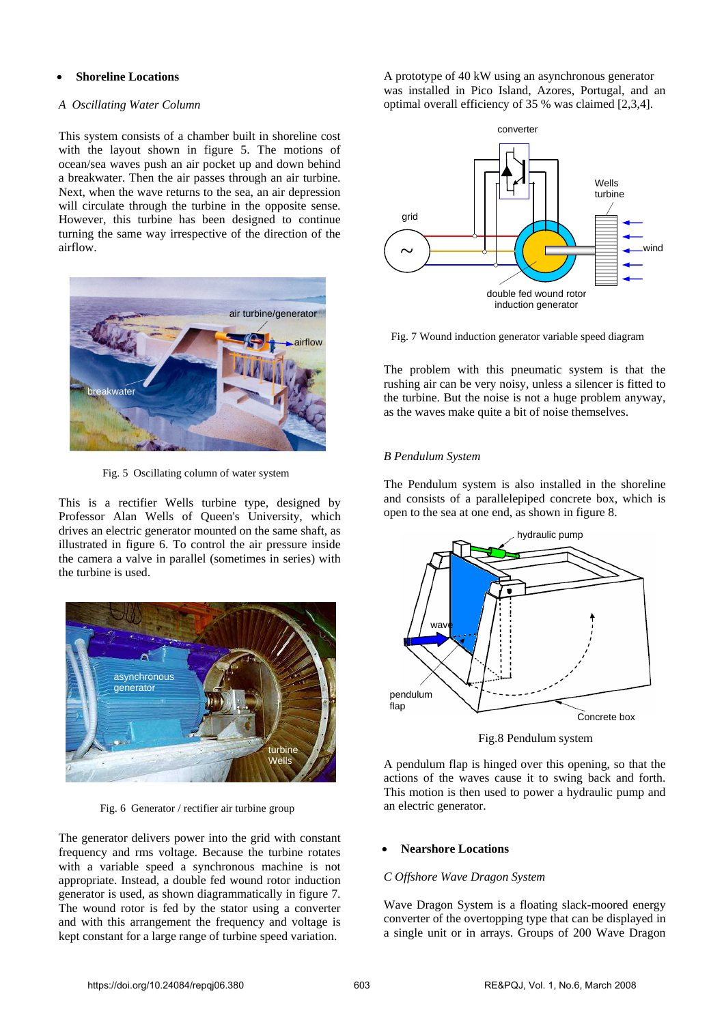#### • **Shoreline Locations**

#### *A Oscillating Water Column*

This system consists of a chamber built in shoreline cost with the layout shown in figure 5. The motions of ocean/sea waves push an air pocket up and down behind a breakwater. Then the air passes through an air turbine. Next, when the wave returns to the sea, an air depression will circulate through the turbine in the opposite sense. However, this turbine has been designed to continue turning the same way irrespective of the direction of the airflow.



Fig. 5 Oscillating column of water system

This is a rectifier Wells turbine type, designed by Professor Alan Wells of Queen's University, which drives an electric generator mounted on the same shaft, as illustrated in figure 6. To control the air pressure inside the camera a valve in parallel (sometimes in series) with the turbine is used.



Fig. 6 Generator / rectifier air turbine group

The generator delivers power into the grid with constant frequency and rms voltage. Because the turbine rotates with a variable speed a synchronous machine is not appropriate. Instead, a double fed wound rotor induction generator is used, as shown diagrammatically in figure 7. The wound rotor is fed by the stator using a converter and with this arrangement the frequency and voltage is kept constant for a large range of turbine speed variation.

A prototype of 40 kW using an asynchronous generator was installed in Pico Island, Azores, Portugal, and an optimal overall efficiency of 35 % was claimed [2,3,4].



Fig. 7 Wound induction generator variable speed diagram

The problem with this pneumatic system is that the rushing air can be very noisy, unless a silencer is fitted to the turbine. But the noise is not a huge problem anyway, as the waves make quite a bit of noise themselves.

## *B Pendulum System*

The Pendulum system is also installed in the shoreline and consists of a parallelepiped concrete box, which is open to the sea at one end, as shown in figure 8.



Fig.8 Pendulum system

A pendulum flap is hinged over this opening, so that the actions of the waves cause it to swing back and forth. This motion is then used to power a hydraulic pump and an electric generator.

## • **Nearshore Locations**

## *C Offshore Wave Dragon System*

Wave Dragon System is a floating slack-moored energy converter of the overtopping type that can be displayed in a single unit or in arrays. Groups of 200 Wave Dragon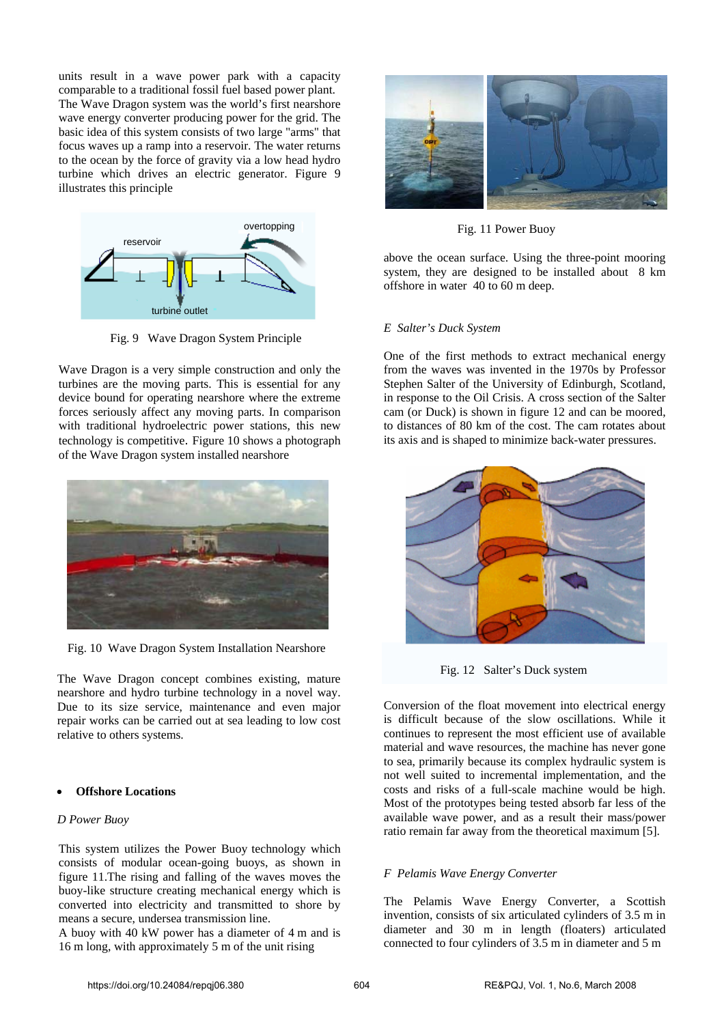units result in a wave power park with a capacity comparable to a traditional fossil fuel based power plant. The Wave Dragon system was the world's first nearshore wave energy converter producing power for the grid. The basic idea of this system consists of two large "arms" that focus waves up a ramp into a reservoir. The water returns to the ocean by the force of gravity via a low head hydro turbine which drives an electric generator. Figure 9 illustrates this principle



Fig. 9 Wave Dragon System Principle

Wave Dragon is a very simple construction and only the turbines are the moving parts. This is essential for any device bound for operating nearshore where the extreme forces seriously affect any moving parts. In comparison with traditional hydroelectric power stations, this new technology is competitive. Figure 10 shows a photograph of the Wave Dragon system installed nearshore



Fig. 10 Wave Dragon System Installation Nearshore

The Wave Dragon concept combines existing, mature nearshore and hydro turbine technology in a novel way. Due to its size service, maintenance and even major repair works can be carried out at sea leading to low cost relative to others systems.

#### • **Offshore Locations**

#### *D Power Buoy*

This system utilizes the Power Buoy technology which consists of modular ocean-going buoys, as shown in figure 11.The rising and falling of the waves moves the buoy-like structure creating mechanical energy which is converted into electricity and transmitted to shore by means a secure, undersea transmission line.

A buoy with 40 kW power has a diameter of 4 m and is 16 m long, with approximately 5 m of the unit rising



Fig. 11 Power Buoy

above the ocean surface. Using the three-point mooring system, they are designed to be installed about 8 km offshore in water 40 to 60 m deep.

### *E Salter's Duck System*

One of the first methods to extract mechanical energy from the waves was invented in the 1970s by Professor Stephen Salter of the University of Edinburgh, Scotland, in response to the Oil Crisis. A cross section of the Salter cam (or Duck) is shown in figure 12 and can be moored, to distances of 80 km of the cost. The cam rotates about its axis and is shaped to minimize back-water pressures.



Fig. 12 Salter's Duck system

Conversion of the float movement into electrical energy is difficult because of the slow oscillations. While it continues to represent the most efficient use of available material and wave resources, the machine has never gone to sea, primarily because its complex hydraulic system is not well suited to incremental implementation, and the costs and risks of a full-scale machine would be high. Most of the prototypes being tested absorb far less of the available wave power, and as a result their mass/power ratio remain far away from the theoretical maximum [5].

## *F Pelamis Wave Energy Converter*

The Pelamis Wave Energy Converter, a Scottish invention, consists of six articulated cylinders of 3.5 m in diameter and 30 m in length (floaters) articulated connected to four cylinders of 3.5 m in diameter and 5 m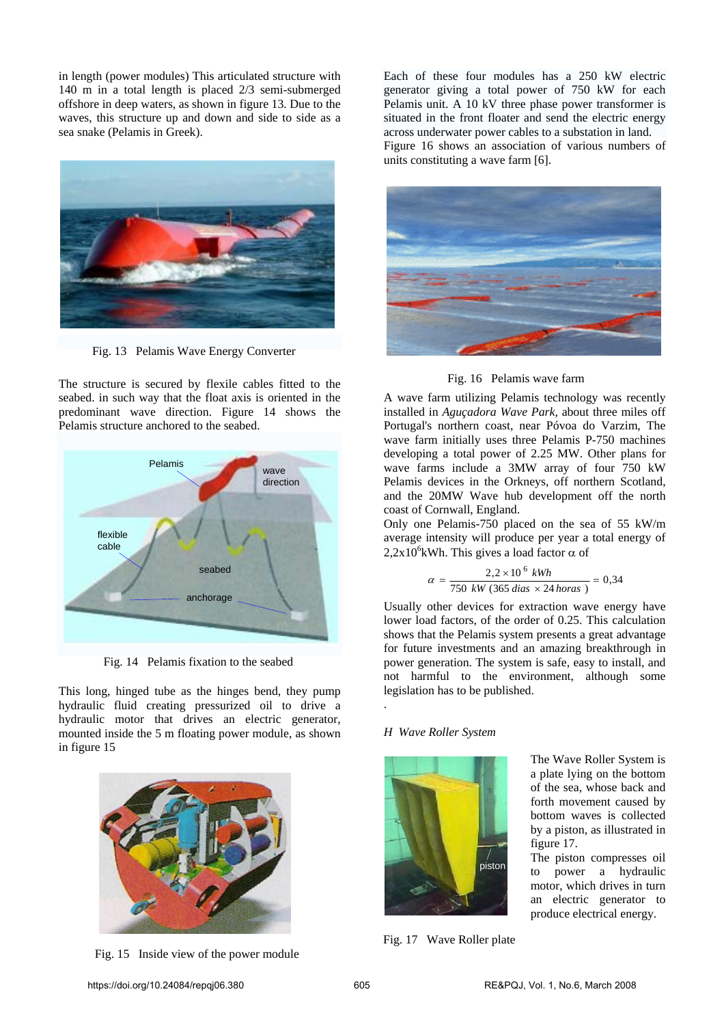in length (power modules) This articulated structure with 140 m in a total length is placed 2/3 semi-submerged offshore in deep waters, as shown in figure 13. Due to the waves, this structure up and down and side to side as a sea snake (Pelamis in Greek).



Fig. 13 Pelamis Wave Energy Converter

The structure is secured by flexile cables fitted to the seabed. in such way that the float axis is oriented in the predominant wave direction. Figure 14 shows the Pelamis structure anchored to the seabed.



Fig. 14 Pelamis fixation to the seabed

This long, hinged tube as the hinges bend, they pump hydraulic fluid creating pressurized oil to drive a hydraulic motor that drives an electric generator, mounted inside the 5 m floating power module, as shown in figure 15



Fig. 15 Inside view of the power module

Each of these four modules has a 250 kW electric generator giving a total power of 750 kW for each Pelamis unit. A 10 kV three phase power transformer is situated in the front floater and send the electric energy across underwater power cables to a substation in land. Figure 16 shows an association of various numbers of units constituting a wave farm [6].



Fig. 16 Pelamis wave farm

A wave farm utilizing Pelamis technology was recently installed in *Aguçadora Wave Park,* about three miles off Portugal's northern coast, near Póvoa do Varzim, The wave farm initially uses three Pelamis P-750 machines developing a total power of 2.25 MW. Other plans for wave farms include a 3MW array of four 750 kW Pelamis devices in the Orkneys, off northern Scotland, and the 20MW Wave hub development off the north coast of Cornwall, England.

Only one Pelamis-750 placed on the sea of 55 kW/m average intensity will produce per year a total energy of  $2,2x10^6$ kWh. This gives a load factor  $\alpha$  of

$$
\alpha = \frac{2.2 \times 10^6 \text{ kWh}}{750 \text{ kW} (365 \text{ dias} \times 24 \text{ horas})} = 0.34
$$

Usually other devices for extraction wave energy have lower load factors, of the order of 0.25. This calculation shows that the Pelamis system presents a great advantage for future investments and an amazing breakthrough in power generation. The system is safe, easy to install, and not harmful to the environment, although some legislation has to be published.

## *H Wave Roller System*

.



Fig. 17 Wave Roller plate

The Wave Roller System is a plate lying on the bottom of the sea, whose back and forth movement caused by bottom waves is collected by a piston, as illustrated in figure 17.

The piston compresses oil to power a hydraulic motor, which drives in turn an electric generator to produce electrical energy.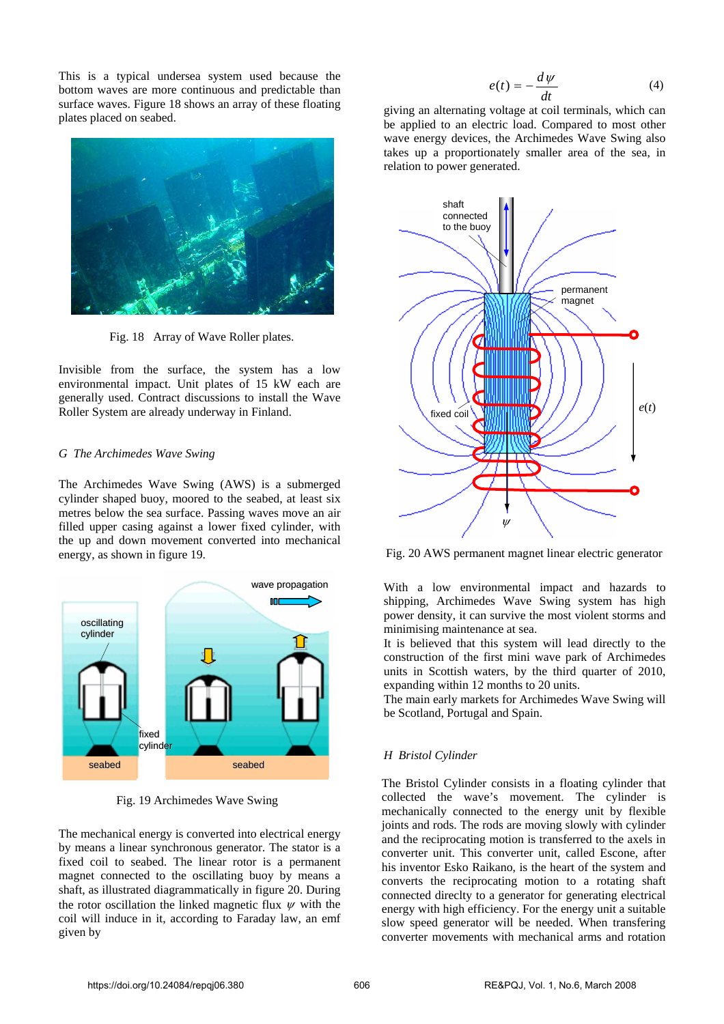This is a typical undersea system used because the bottom waves are more continuous and predictable than surface waves. Figure 18 shows an array of these floating plates placed on seabed.



Fig. 18 Array of Wave Roller plates.

Invisible from the surface, the system has a low environmental impact. Unit plates of 15 kW each are generally used. Contract discussions to install the Wave Roller System are already underway in Finland.

#### *G The Archimedes Wave Swing*

The Archimedes Wave Swing (AWS) is a submerged cylinder shaped buoy, moored to the seabed, at least six metres below the sea surface. Passing waves move an air filled upper casing against a lower fixed cylinder, with the up and down movement converted into mechanical energy, as shown in figure 19.



Fig. 19 Archimedes Wave Swing

The mechanical energy is converted into electrical energy by means a linear synchronous generator. The stator is a fixed coil to seabed. The linear rotor is a permanent magnet connected to the oscillating buoy by means a shaft, as illustrated diagrammatically in figure 20. During the rotor oscillation the linked magnetic flux  $\psi$  with the coil will induce in it, according to Faraday law, an emf given by

$$
e(t) = -\frac{d\psi}{dt} \tag{4}
$$

giving an alternating voltage at coil terminals, which can be applied to an electric load. Compared to most other wave energy devices, the Archimedes Wave Swing also takes up a proportionately smaller area of the sea, in relation to power generated.



Fig. 20 AWS permanent magnet linear electric generator

With a low environmental impact and hazards to shipping, Archimedes Wave Swing system has high power density, it can survive the most violent storms and minimising maintenance at sea.

It is believed that this system will lead directly to the construction of the first mini wave park of Archimedes units in Scottish waters, by the third quarter of 2010, expanding within 12 months to 20 units.

The main early markets for Archimedes Wave Swing will be Scotland, Portugal and Spain.

## *H Bristol Cylinder*

The Bristol Cylinder consists in a floating cylinder that collected the wave's movement. The cylinder is mechanically connected to the energy unit by flexible joints and rods. The rods are moving slowly with cylinder and the reciprocating motion is transferred to the axels in converter unit. This converter unit, called Escone, after his inventor Esko Raikano, is the heart of the system and converts the reciprocating motion to a rotating shaft connected direclty to a generator for generating electrical energy with high efficiency. For the energy unit a suitable slow speed generator will be needed. When transfering converter movements with mechanical arms and rotation